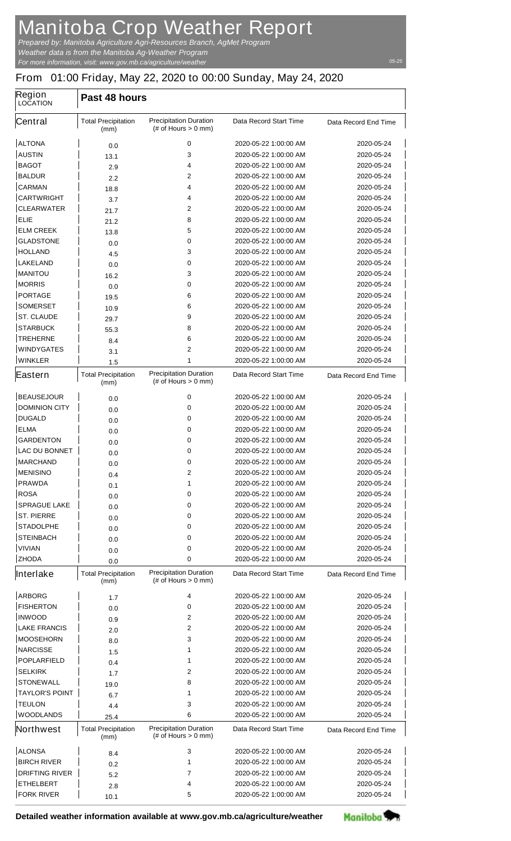## **Manitoba Crop Weather Report**

*For more information, visit: www.gov.mb.ca/agriculture/weather Prepared by: Manitoba Agriculture Agri-Resources Branch, AgMet Program Weather data is from the Manitoba Ag-Weather Program*

## **From 01:00 Friday, May 22, 2020 to 00:00 Sunday, May 24, 2020**

| <b>Region</b><br><b>LOCATION</b> | Past 48 hours                      |                                                         |                               |                             |  |  |
|----------------------------------|------------------------------------|---------------------------------------------------------|-------------------------------|-----------------------------|--|--|
| Central                          | <b>Total Precipitation</b><br>(mm) | <b>Precipitation Duration</b><br>$#$ of Hours $> 0$ mm) | <b>Data Record Start Time</b> | Data Record End Time        |  |  |
| <b>ALTONA</b>                    | 0.0                                | 0                                                       | 2020-05-22 1:00:00 AM         | 2020-05-24                  |  |  |
| <b>AUSTIN</b>                    | 13.1                               | 3                                                       | 2020-05-22 1:00:00 AM         | 2020-05-24                  |  |  |
| <b>BAGOT</b>                     | 2.9                                | 4                                                       | 2020-05-22 1:00:00 AM         | 2020-05-24                  |  |  |
| <b>BALDUR</b>                    | 2.2                                | $\mathbf{2}$                                            | 2020-05-22 1:00:00 AM         | 2020-05-24                  |  |  |
| <b>CARMAN</b>                    | 18.8                               | 4                                                       | 2020-05-22 1:00:00 AM         | 2020-05-24                  |  |  |
| <b>CARTWRIGHT</b>                | 3.7                                | 4                                                       | 2020-05-22 1:00:00 AM         | 2020-05-24                  |  |  |
| <b>CLEARWATER</b>                | 21.7                               | $\mathbf{2}$                                            | 2020-05-22 1:00:00 AM         | 2020-05-24                  |  |  |
| <b>ELIE</b>                      | 21.2                               | 8                                                       | 2020-05-22 1:00:00 AM         | 2020-05-24                  |  |  |
| <b>ELM CREEK</b>                 | 13.8                               | 5                                                       | 2020-05-22 1:00:00 AM         | 2020-05-24                  |  |  |
| <b>GLADSTONE</b>                 | 0.0                                | 0                                                       | 2020-05-22 1:00:00 AM         | 2020-05-24                  |  |  |
| <b>HOLLAND</b>                   | 4.5                                | 3                                                       | 2020-05-22 1:00:00 AM         | 2020-05-24                  |  |  |
| <b>LAKELAND</b>                  | 0.0                                | 0                                                       | 2020-05-22 1:00:00 AM         | 2020-05-24                  |  |  |
| <b>MANITOU</b>                   | 16.2                               | 3                                                       | 2020-05-22 1:00:00 AM         | 2020-05-24                  |  |  |
| <b>MORRIS</b>                    | 0.0                                | 0                                                       | 2020-05-22 1:00:00 AM         | 2020-05-24                  |  |  |
| <b>PORTAGE</b>                   | 19.5                               | 6                                                       | 2020-05-22 1:00:00 AM         | 2020-05-24                  |  |  |
| <b>SOMERSET</b>                  | 10.9                               | 6                                                       | 2020-05-22 1:00:00 AM         | 2020-05-24                  |  |  |
| <b>ST. CLAUDE</b>                | 29.7                               | 9                                                       | 2020-05-22 1:00:00 AM         | 2020-05-24                  |  |  |
| <b>STARBUCK</b>                  | 55.3                               | 8                                                       | 2020-05-22 1:00:00 AM         | 2020-05-24                  |  |  |
| <b>TREHERNE</b>                  | 8.4                                | 6                                                       | 2020-05-22 1:00:00 AM         | 2020-05-24                  |  |  |
| <b>WINDYGATES</b>                | 3.1                                | $\overline{2}$                                          | 2020-05-22 1:00:00 AM         | 2020-05-24                  |  |  |
| <b>WINKLER</b>                   | 1.5                                | 1                                                       | 2020-05-22 1:00:00 AM         | 2020-05-24                  |  |  |
| Eastern                          | <b>Total Precipitation</b><br>(mm) | <b>Precipitation Duration</b><br>(# of Hours $> 0$ mm)  | <b>Data Record Start Time</b> | <b>Data Record End Time</b> |  |  |
| <b>BEAUSEJOUR</b>                | 0.0                                | 0                                                       | 2020-05-22 1:00:00 AM         | 2020-05-24                  |  |  |
| <b>DOMINION CITY</b>             | 0.0                                | 0                                                       | 2020-05-22 1:00:00 AM         | 2020-05-24                  |  |  |
| <b>DUGALD</b>                    | 0.0                                | 0                                                       | 2020-05-22 1:00:00 AM         | 2020-05-24                  |  |  |
| <b>ELMA</b>                      | 0.0                                | 0                                                       | 2020-05-22 1:00:00 AM         | 2020-05-24                  |  |  |
| <b>GARDENTON</b>                 | 0.0                                | 0                                                       | 2020-05-22 1:00:00 AM         | 2020-05-24                  |  |  |
| <b>LAC DU BONNET</b>             | 0.0                                | 0                                                       | 2020-05-22 1:00:00 AM         | 2020-05-24                  |  |  |
| <b>MARCHAND</b>                  | 0.0                                | 0                                                       | 2020-05-22 1:00:00 AM         | 2020-05-24                  |  |  |
| <b>MENISINO</b>                  | 0.4                                | 2                                                       | 2020-05-22 1:00:00 AM         | 2020-05-24                  |  |  |
| <b>PRAWDA</b>                    | 0.1                                | 1                                                       | 2020-05-22 1:00:00 AM         | 2020-05-24                  |  |  |
| <b>ROSA</b>                      | 0.0                                | 0                                                       | 2020-05-22 1:00:00 AM         | 2020-05-24                  |  |  |
| <b>SPRAGUE LAKE</b>              | 0.0                                | 0                                                       | 2020-05-22 1:00:00 AM         | 2020-05-24                  |  |  |
| <b>ST. PIERRE</b>                | 0.0                                | 0                                                       | 2020-05-22 1:00:00 AM         | 2020-05-24                  |  |  |
| <b>STADOLPHE</b>                 | 0.0                                | 0                                                       | 2020-05-22 1:00:00 AM         | 2020-05-24                  |  |  |
| <b>STEINBACH</b>                 | 0.0                                | 0                                                       | 2020-05-22 1:00:00 AM         | 2020-05-24                  |  |  |
| <b>VIVIAN</b>                    | 0.0                                | 0                                                       | 2020-05-22 1:00:00 AM         | 2020-05-24                  |  |  |
| <b>ZHODA</b>                     | 0.0                                | 0                                                       | 2020-05-22 1:00:00 AM         | 2020-05-24                  |  |  |
| Interlake                        | <b>Total Precipitation</b><br>(mm) | <b>Precipitation Duration</b><br>$#$ of Hours $> 0$ mm) | <b>Data Record Start Time</b> | Data Record End Time        |  |  |
| <b>ARBORG</b>                    | 1.7                                | 4                                                       | 2020-05-22 1:00:00 AM         | 2020-05-24                  |  |  |
| <b>FISHERTON</b>                 | 0.0                                | 0                                                       | 2020-05-22 1:00:00 AM         | 2020-05-24                  |  |  |
| <b>INWOOD</b>                    | 0.9                                | 2                                                       | 2020-05-22 1:00:00 AM         | 2020-05-24                  |  |  |
| <b>LAKE FRANCIS</b>              | 2.0                                | $\mathbf{2}$                                            | 2020-05-22 1:00:00 AM         | 2020-05-24                  |  |  |
| <b>MOOSEHORN</b>                 | 8.0                                | 3                                                       | 2020-05-22 1:00:00 AM         | 2020-05-24                  |  |  |
| <b>NARCISSE</b>                  | 1.5                                | 1                                                       | 2020-05-22 1:00:00 AM         | 2020-05-24                  |  |  |
| <b>POPLARFIELD</b>               | 0.4                                | 1                                                       | 2020-05-22 1:00:00 AM         | 2020-05-24                  |  |  |
| <b>SELKIRK</b>                   | 1.7                                | 2                                                       | 2020-05-22 1:00:00 AM         | 2020-05-24                  |  |  |
| <b>STONEWALL</b>                 | 19.0                               | 8                                                       | 2020-05-22 1:00:00 AM         | 2020-05-24                  |  |  |
| <b>TAYLOR'S POINT</b>            | 6.7                                | 1                                                       | 2020-05-22 1:00:00 AM         | 2020-05-24                  |  |  |
| <b>TEULON</b>                    | 4.4                                | 3                                                       | 2020-05-22 1:00:00 AM         | 2020-05-24                  |  |  |
| <b>WOODLANDS</b>                 | 25.4                               | 6                                                       | 2020-05-22 1:00:00 AM         | 2020-05-24                  |  |  |
| Northwest                        | <b>Total Precipitation</b><br>(mm) | <b>Precipitation Duration</b><br>$#$ of Hours $> 0$ mm) | Data Record Start Time        | Data Record End Time        |  |  |
| <b>ALONSA</b>                    | 8.4                                | 3                                                       | 2020-05-22 1:00:00 AM         | 2020-05-24                  |  |  |
| <b>BIRCH RIVER</b>               | 0.2                                | 1                                                       | 2020-05-22 1:00:00 AM         | 2020-05-24                  |  |  |
| <b>DRIFTING RIVER</b>            | 5.2                                | 7                                                       | 2020-05-22 1:00:00 AM         | 2020-05-24                  |  |  |
| <b>ETHELBERT</b>                 | 2.8                                | 4                                                       | 2020-05-22 1:00:00 AM         | 2020-05-24                  |  |  |
| <b>FORK RIVER</b>                | 10.1                               | 5                                                       | 2020-05-22 1:00:00 AM         | 2020-05-24                  |  |  |

**Detailed weather information available at www.gov.mb.ca/agriculture/weather**



*05-25*